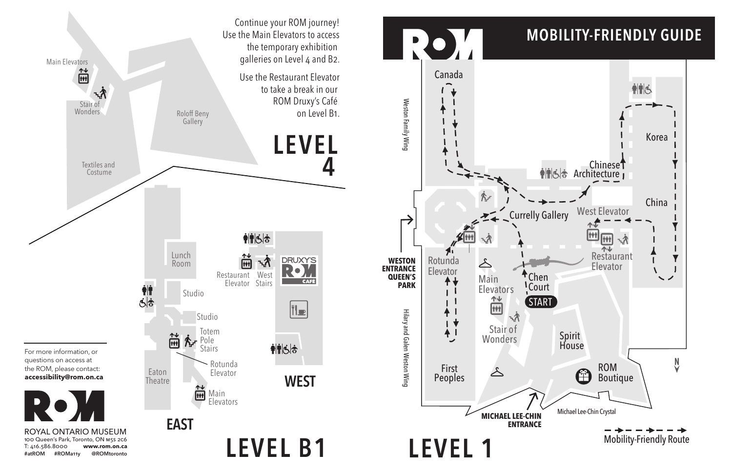